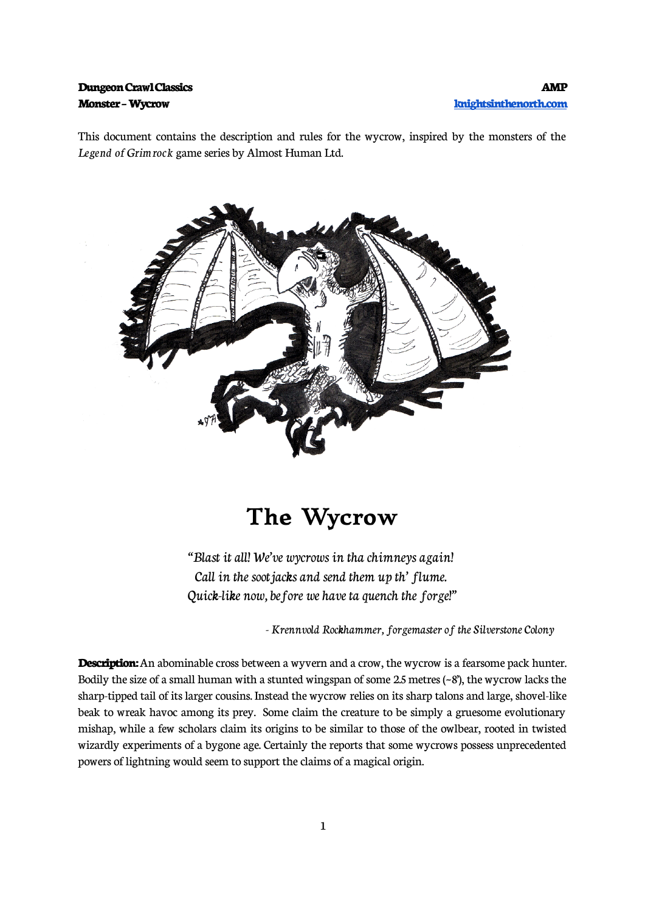## **Monster – Wycrow [knightsinthenorth.com](http://knightsinthenorth.com/)**

This document contains the description and rules for the wycrow, inspired by the monsters of the *Legend of Grimrock* game series by Almost Human Ltd.



## **The Wycrow**

"Blast it all! We've wycrows in tha chimneys again! Call in the soot jacks and send them up th' flume. Quick-like now, before we have ta quench the forge!"

*-* Krennvold Rockhammer, forgemaster of the Silverstone Colony

**Description:** An abominable cross between a wyvern and a crow, the wycrow is a fearsome pack hunter. Bodily the size of a small human with a stunted wingspan of some  $2.5$  metres  $(-8)$ , the wycrow lacks the sharp-tipped tail of its larger cousins. Instead the wycrow relies on its sharp talons and large, shovel-like beak to wreak havoc among its prey. Some claim the creature to be simply a gruesome evolutionary mishap, while a few scholars claim its origins to be similar to those of the owlbear, rooted in twisted wizardly experiments of a bygone age. Certainly the reports that some wycrows possess unprecedented powers of lightning would seem to support the claims of a magical origin.